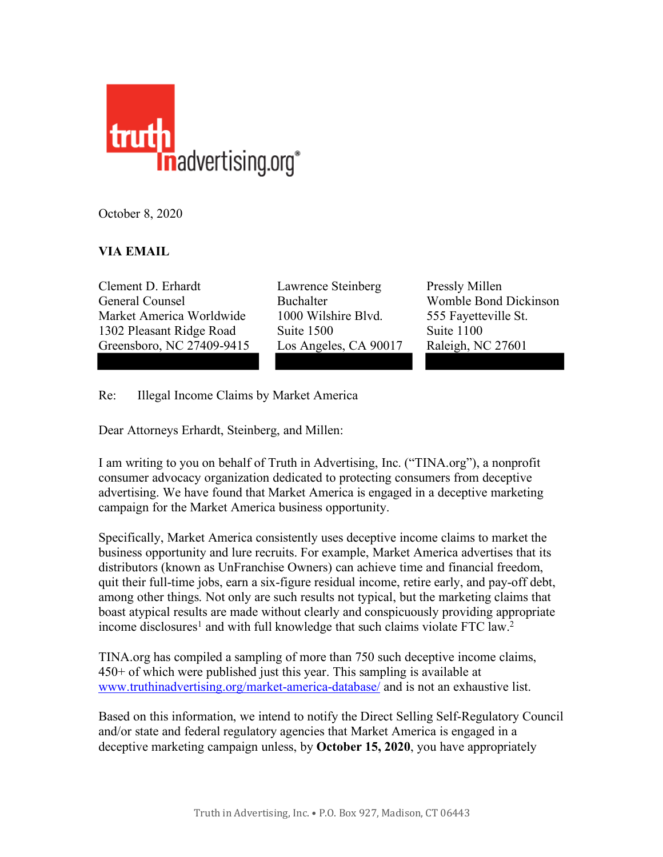

October 8, 2020

## **VIA EMAIL**

Clement D. Erhardt Lawrence Steinberg Pressly Millen General Counsel Buchalter Womble Bond Dickinson Market America Worldwide 1000 Wilshire Blvd. 555 Fayetteville St. 1302 Pleasant Ridge Road Suite 1500 Suite 1100 Greensboro, NC 27409-9415 Los Angeles, CA 90017 Raleigh, NC 27601

Re: Illegal Income Claims by Market America

Dear Attorneys Erhardt, Steinberg, and Millen:

I am writing to you on behalf of Truth in Advertising, Inc. ("TINA.org"), a nonprofit consumer advocacy organization dedicated to protecting consumers from deceptive advertising. We have found that Market America is engaged in a deceptive marketing campaign for the Market America business opportunity.

Specifically, Market America consistently uses deceptive income claims to market the business opportunity and lure recruits. For example, Market America advertises that its distributors (known as UnFranchise Owners) can achieve time and financial freedom, quit their full-time jobs, earn a six-figure residual income, retire early, and pay-off debt, among other things. Not only are such results not typical, but the marketing claims that boast atypical results are made without clearly and conspicuously providing appropriate income disclosures<sup>1</sup> and with full knowledge that such claims violate FTC law.<sup>2</sup>

TINA.org has compiled a sampling of more than 750 such deceptive income claims, 450+ of which were published just this year. This sampling is available at [www.truthinadvertising.org/market-america-database/](https://www.truthinadvertising.org/market-america-database/) and is not an exhaustive list.

Based on this information, we intend to notify the Direct Selling Self-Regulatory Council and/or state and federal regulatory agencies that Market America is engaged in a deceptive marketing campaign unless, by **October 15, 2020**, you have appropriately